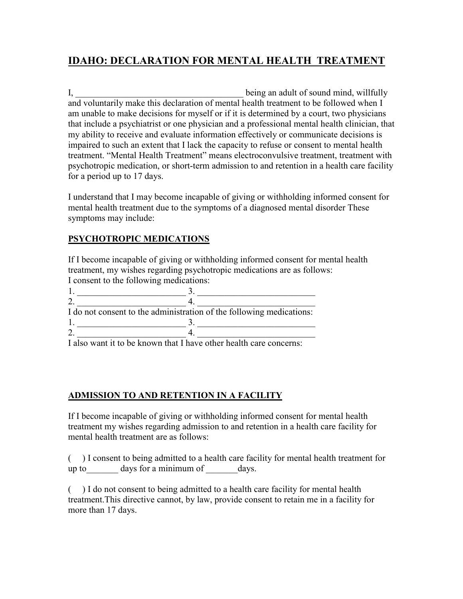# IDAHO: DECLARATION FOR MENTAL HEALTH TREATMENT

I, the being an adult of sound mind, willfully and voluntarily make this declaration of mental health treatment to be followed when I am unable to make decisions for myself or if it is determined by a court, two physicians that include a psychiatrist or one physician and a professional mental health clinician, that my ability to receive and evaluate information effectively or communicate decisions is impaired to such an extent that I lack the capacity to refuse or consent to mental health treatment. "Mental Health Treatment" means electroconvulsive treatment, treatment with psychotropic medication, or short-term admission to and retention in a health care facility for a period up to 17 days.

I understand that I may become incapable of giving or withholding informed consent for mental health treatment due to the symptoms of a diagnosed mental disorder These symptoms may include:

## PSYCHOTROPIC MEDICATIONS

If I become incapable of giving or withholding informed consent for mental health treatment, my wishes regarding psychotropic medications are as follows: I consent to the following medications:

| I do not consent to the administration of the following medications: |  |
|----------------------------------------------------------------------|--|
|                                                                      |  |
|                                                                      |  |

I also want it to be known that I have other health care concerns:

## ADMISSION TO AND RETENTION IN A FACILITY

If I become incapable of giving or withholding informed consent for mental health treatment my wishes regarding admission to and retention in a health care facility for mental health treatment are as follows:

( ) I consent to being admitted to a health care facility for mental health treatment for up to  $\qquad$  days for a minimum of  $\qquad$  days.

( ) I do not consent to being admitted to a health care facility for mental health treatment.This directive cannot, by law, provide consent to retain me in a facility for more than 17 days.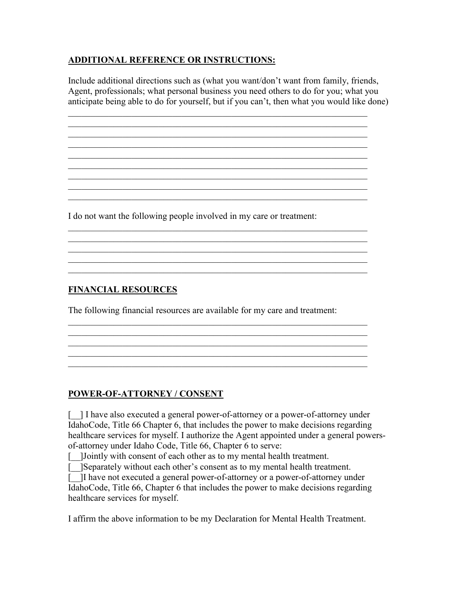## ADDITIONAL REFERENCE OR INSTRUCTIONS:

Include additional directions such as (what you want/don't want from family, friends, Agent, professionals; what personal business you need others to do for you; what you anticipate being able to do for yourself, but if you can't, then what you would like done)

 $\mathcal{L}_\text{G} = \{ \mathcal{L}_\text{G} = \{ \mathcal{L}_\text{G} = \{ \mathcal{L}_\text{G} = \{ \mathcal{L}_\text{G} = \{ \mathcal{L}_\text{G} = \{ \mathcal{L}_\text{G} = \{ \mathcal{L}_\text{G} = \{ \mathcal{L}_\text{G} = \{ \mathcal{L}_\text{G} = \{ \mathcal{L}_\text{G} = \{ \mathcal{L}_\text{G} = \{ \mathcal{L}_\text{G} = \{ \mathcal{L}_\text{G} = \{ \mathcal{L}_\text{G} = \{ \mathcal{L}_\text{G$  $\mathcal{L}_\text{G} = \{ \mathcal{L}_\text{G} = \{ \mathcal{L}_\text{G} = \{ \mathcal{L}_\text{G} = \{ \mathcal{L}_\text{G} = \{ \mathcal{L}_\text{G} = \{ \mathcal{L}_\text{G} = \{ \mathcal{L}_\text{G} = \{ \mathcal{L}_\text{G} = \{ \mathcal{L}_\text{G} = \{ \mathcal{L}_\text{G} = \{ \mathcal{L}_\text{G} = \{ \mathcal{L}_\text{G} = \{ \mathcal{L}_\text{G} = \{ \mathcal{L}_\text{G} = \{ \mathcal{L}_\text{G$  $\mathcal{L}_\mathcal{L}$  , and the contribution of the contribution of the contribution of the contribution of the contribution of the contribution of the contribution of the contribution of the contribution of the contribution of  $\mathcal{L}_\text{G} = \{ \mathcal{L}_\text{G} = \{ \mathcal{L}_\text{G} = \{ \mathcal{L}_\text{G} = \{ \mathcal{L}_\text{G} = \{ \mathcal{L}_\text{G} = \{ \mathcal{L}_\text{G} = \{ \mathcal{L}_\text{G} = \{ \mathcal{L}_\text{G} = \{ \mathcal{L}_\text{G} = \{ \mathcal{L}_\text{G} = \{ \mathcal{L}_\text{G} = \{ \mathcal{L}_\text{G} = \{ \mathcal{L}_\text{G} = \{ \mathcal{L}_\text{G} = \{ \mathcal{L}_\text{G$ 

 $\mathcal{L}_\text{G} = \{ \mathcal{L}_\text{G} = \{ \mathcal{L}_\text{G} = \{ \mathcal{L}_\text{G} = \{ \mathcal{L}_\text{G} = \{ \mathcal{L}_\text{G} = \{ \mathcal{L}_\text{G} = \{ \mathcal{L}_\text{G} = \{ \mathcal{L}_\text{G} = \{ \mathcal{L}_\text{G} = \{ \mathcal{L}_\text{G} = \{ \mathcal{L}_\text{G} = \{ \mathcal{L}_\text{G} = \{ \mathcal{L}_\text{G} = \{ \mathcal{L}_\text{G} = \{ \mathcal{L}_\text{G$  $\mathcal{L}_\text{G} = \{ \mathcal{L}_\text{G} = \{ \mathcal{L}_\text{G} = \{ \mathcal{L}_\text{G} = \{ \mathcal{L}_\text{G} = \{ \mathcal{L}_\text{G} = \{ \mathcal{L}_\text{G} = \{ \mathcal{L}_\text{G} = \{ \mathcal{L}_\text{G} = \{ \mathcal{L}_\text{G} = \{ \mathcal{L}_\text{G} = \{ \mathcal{L}_\text{G} = \{ \mathcal{L}_\text{G} = \{ \mathcal{L}_\text{G} = \{ \mathcal{L}_\text{G} = \{ \mathcal{L}_\text{G$ 

 $\mathcal{L}_\text{G} = \{ \mathcal{L}_\text{G} = \{ \mathcal{L}_\text{G} = \{ \mathcal{L}_\text{G} = \{ \mathcal{L}_\text{G} = \{ \mathcal{L}_\text{G} = \{ \mathcal{L}_\text{G} = \{ \mathcal{L}_\text{G} = \{ \mathcal{L}_\text{G} = \{ \mathcal{L}_\text{G} = \{ \mathcal{L}_\text{G} = \{ \mathcal{L}_\text{G} = \{ \mathcal{L}_\text{G} = \{ \mathcal{L}_\text{G} = \{ \mathcal{L}_\text{G} = \{ \mathcal{L}_\text{G$ 

 $\mathcal{L}_\text{G} = \{ \mathcal{L}_\text{G} = \{ \mathcal{L}_\text{G} = \{ \mathcal{L}_\text{G} = \{ \mathcal{L}_\text{G} = \{ \mathcal{L}_\text{G} = \{ \mathcal{L}_\text{G} = \{ \mathcal{L}_\text{G} = \{ \mathcal{L}_\text{G} = \{ \mathcal{L}_\text{G} = \{ \mathcal{L}_\text{G} = \{ \mathcal{L}_\text{G} = \{ \mathcal{L}_\text{G} = \{ \mathcal{L}_\text{G} = \{ \mathcal{L}_\text{G} = \{ \mathcal{L}_\text{G$ 

 $\mathcal{L}_\text{G} = \{ \mathcal{L}_\text{G} = \{ \mathcal{L}_\text{G} = \{ \mathcal{L}_\text{G} = \{ \mathcal{L}_\text{G} = \{ \mathcal{L}_\text{G} = \{ \mathcal{L}_\text{G} = \{ \mathcal{L}_\text{G} = \{ \mathcal{L}_\text{G} = \{ \mathcal{L}_\text{G} = \{ \mathcal{L}_\text{G} = \{ \mathcal{L}_\text{G} = \{ \mathcal{L}_\text{G} = \{ \mathcal{L}_\text{G} = \{ \mathcal{L}_\text{G} = \{ \mathcal{L}_\text{G$ 

 $\mathcal{L}_\text{G} = \{ \mathcal{L}_\text{G} = \{ \mathcal{L}_\text{G} = \{ \mathcal{L}_\text{G} = \{ \mathcal{L}_\text{G} = \{ \mathcal{L}_\text{G} = \{ \mathcal{L}_\text{G} = \{ \mathcal{L}_\text{G} = \{ \mathcal{L}_\text{G} = \{ \mathcal{L}_\text{G} = \{ \mathcal{L}_\text{G} = \{ \mathcal{L}_\text{G} = \{ \mathcal{L}_\text{G} = \{ \mathcal{L}_\text{G} = \{ \mathcal{L}_\text{G} = \{ \mathcal{L}_\text{G$ 

 $\mathcal{L}_\text{G} = \{ \mathcal{L}_\text{G} = \{ \mathcal{L}_\text{G} = \{ \mathcal{L}_\text{G} = \{ \mathcal{L}_\text{G} = \{ \mathcal{L}_\text{G} = \{ \mathcal{L}_\text{G} = \{ \mathcal{L}_\text{G} = \{ \mathcal{L}_\text{G} = \{ \mathcal{L}_\text{G} = \{ \mathcal{L}_\text{G} = \{ \mathcal{L}_\text{G} = \{ \mathcal{L}_\text{G} = \{ \mathcal{L}_\text{G} = \{ \mathcal{L}_\text{G} = \{ \mathcal{L}_\text{G$  $\mathcal{L}_\text{G} = \{ \mathcal{L}_\text{G} = \{ \mathcal{L}_\text{G} = \{ \mathcal{L}_\text{G} = \{ \mathcal{L}_\text{G} = \{ \mathcal{L}_\text{G} = \{ \mathcal{L}_\text{G} = \{ \mathcal{L}_\text{G} = \{ \mathcal{L}_\text{G} = \{ \mathcal{L}_\text{G} = \{ \mathcal{L}_\text{G} = \{ \mathcal{L}_\text{G} = \{ \mathcal{L}_\text{G} = \{ \mathcal{L}_\text{G} = \{ \mathcal{L}_\text{G} = \{ \mathcal{L}_\text{G$ 

 $\mathcal{L}_\text{G} = \{ \mathcal{L}_\text{G} = \{ \mathcal{L}_\text{G} = \{ \mathcal{L}_\text{G} = \{ \mathcal{L}_\text{G} = \{ \mathcal{L}_\text{G} = \{ \mathcal{L}_\text{G} = \{ \mathcal{L}_\text{G} = \{ \mathcal{L}_\text{G} = \{ \mathcal{L}_\text{G} = \{ \mathcal{L}_\text{G} = \{ \mathcal{L}_\text{G} = \{ \mathcal{L}_\text{G} = \{ \mathcal{L}_\text{G} = \{ \mathcal{L}_\text{G} = \{ \mathcal{L}_\text{G$ 

 $\mathcal{L}_\mathcal{L} = \mathcal{L}_\mathcal{L} = \mathcal{L}_\mathcal{L} = \mathcal{L}_\mathcal{L} = \mathcal{L}_\mathcal{L} = \mathcal{L}_\mathcal{L} = \mathcal{L}_\mathcal{L} = \mathcal{L}_\mathcal{L} = \mathcal{L}_\mathcal{L} = \mathcal{L}_\mathcal{L} = \mathcal{L}_\mathcal{L} = \mathcal{L}_\mathcal{L} = \mathcal{L}_\mathcal{L} = \mathcal{L}_\mathcal{L} = \mathcal{L}_\mathcal{L} = \mathcal{L}_\mathcal{L} = \mathcal{L}_\mathcal{L}$ 

 $\overline{\phantom{a}}$  , and the contribution of the contribution of the contribution of the contribution of the contribution of the contribution of the contribution of the contribution of the contribution of the contribution of the

\_\_\_\_\_\_\_\_\_\_\_\_\_\_\_\_\_\_\_\_\_\_\_\_\_\_\_\_\_\_\_\_\_\_\_\_\_\_\_\_\_\_\_\_\_\_\_\_\_\_\_\_\_\_\_\_\_\_\_\_\_\_\_\_\_\_

I do not want the following people involved in my care or treatment:

## FINANCIAL RESOURCES

The following financial resources are available for my care and treatment:

## POWER-OF-ATTORNEY / CONSENT

[\_\_] I have also executed a general power-of-attorney or a power-of-attorney under IdahoCode, Title 66 Chapter 6, that includes the power to make decisions regarding healthcare services for myself. I authorize the Agent appointed under a general powersof-attorney under Idaho Code, Title 66, Chapter 6 to serve:

[\_\_]Jointly with consent of each other as to my mental health treatment.

[\_\_]Separately without each other's consent as to my mental health treatment.

[\_\_]I have not executed a general power-of-attorney or a power-of-attorney under IdahoCode, Title 66, Chapter 6 that includes the power to make decisions regarding healthcare services for myself.

I affirm the above information to be my Declaration for Mental Health Treatment.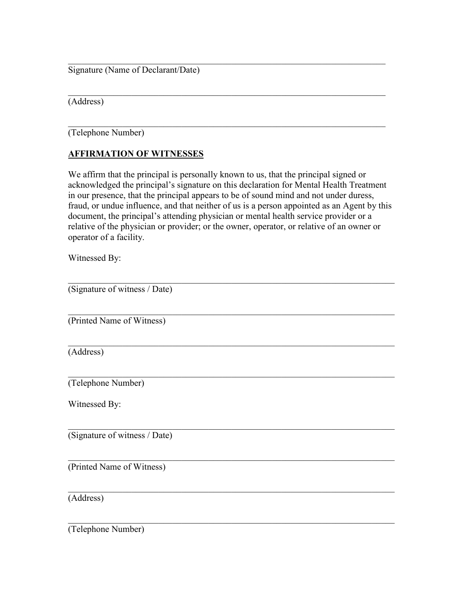Signature (Name of Declarant/Date)

(Address)

\_\_\_\_\_\_\_\_\_\_\_\_\_\_\_\_\_\_\_\_\_\_\_\_\_\_\_\_\_\_\_\_\_\_\_\_\_\_\_\_\_\_\_\_\_\_\_\_\_\_\_\_\_\_\_\_\_\_\_\_\_\_\_\_\_\_\_\_\_\_ (Telephone Number)

## AFFIRMATION OF WITNESSES

We affirm that the principal is personally known to us, that the principal signed or acknowledged the principal's signature on this declaration for Mental Health Treatment in our presence, that the principal appears to be of sound mind and not under duress, fraud, or undue influence, and that neither of us is a person appointed as an Agent by this document, the principal's attending physician or mental health service provider or a relative of the physician or provider; or the owner, operator, or relative of an owner or operator of a facility.

\_\_\_\_\_\_\_\_\_\_\_\_\_\_\_\_\_\_\_\_\_\_\_\_\_\_\_\_\_\_\_\_\_\_\_\_\_\_\_\_\_\_\_\_\_\_\_\_\_\_\_\_\_\_\_\_\_\_\_\_\_\_\_\_\_\_\_\_\_\_

\_\_\_\_\_\_\_\_\_\_\_\_\_\_\_\_\_\_\_\_\_\_\_\_\_\_\_\_\_\_\_\_\_\_\_\_\_\_\_\_\_\_\_\_\_\_\_\_\_\_\_\_\_\_\_\_\_\_\_\_\_\_\_\_\_\_\_\_\_\_

Witnessed By:

| (Signature of witness / Date) |
|-------------------------------|
| (Printed Name of Witness)     |
| (Address)                     |
| (Telephone Number)            |
| Witnessed By:                 |
| (Signature of witness / Date) |
| (Printed Name of Witness)     |
| (Address)                     |

(Telephone Number)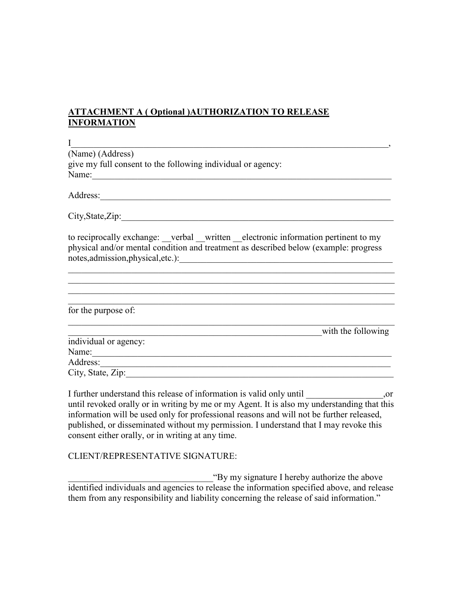## ATTACHMENT A ( Optional )AUTHORIZATION TO RELEASE INFORMATION

 $I$  , and the set of the set of the set of the set of the set of the set of the set of the set of the set of the set of the set of the set of the set of the set of the set of the set of the set of the set of the set of th (Name) (Address) give my full consent to the following individual or agency: Name:\_\_\_\_\_\_\_\_\_\_\_\_\_\_\_\_\_\_\_\_\_\_\_\_\_\_\_\_\_\_\_\_\_\_\_\_\_\_\_\_\_\_\_\_\_\_\_\_\_\_\_\_\_\_\_\_\_\_\_\_\_\_\_\_\_\_

Address:

 $City, State, Zip:$ 

to reciprocally exchange: verbal written electronic information pertinent to my physical and/or mental condition and treatment as described below (example: progress notes,admission,physical,etc.):

 $\_$  $\_$ 

 $\mathcal{L}_\mathcal{L} = \{ \mathcal{L}_\mathcal{L} = \{ \mathcal{L}_\mathcal{L} = \{ \mathcal{L}_\mathcal{L} = \{ \mathcal{L}_\mathcal{L} = \{ \mathcal{L}_\mathcal{L} = \{ \mathcal{L}_\mathcal{L} = \{ \mathcal{L}_\mathcal{L} = \{ \mathcal{L}_\mathcal{L} = \{ \mathcal{L}_\mathcal{L} = \{ \mathcal{L}_\mathcal{L} = \{ \mathcal{L}_\mathcal{L} = \{ \mathcal{L}_\mathcal{L} = \{ \mathcal{L}_\mathcal{L} = \{ \mathcal{L}_\mathcal{$ 

| for the purpose of:   |                    |
|-----------------------|--------------------|
|                       | with the following |
| individual or agency: |                    |
| Name:                 |                    |
| Address:              |                    |
| City, State, Zip:     |                    |

I further understand this release of information is valid only until  $\qquad \qquad$ , or until revoked orally or in writing by me or my Agent. It is also my understanding that this information will be used only for professional reasons and will not be further released, published, or disseminated without my permission. I understand that I may revoke this consent either orally, or in writing at any time.

#### CLIENT/REPRESENTATIVE SIGNATURE:

\_\_\_\_\_\_\_\_\_\_\_\_\_\_\_\_\_\_\_\_\_\_\_\_\_\_\_\_\_\_\_\_"By my signature I hereby authorize the above identified individuals and agencies to release the information specified above, and release them from any responsibility and liability concerning the release of said information."